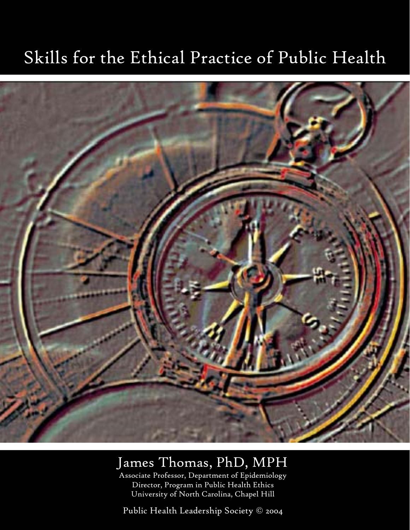# Skills for the Ethical Practice of Public Health



# James Thomas, PhD, MPH

Associate Professor, Department of Epidemiology Director, Program in Public Health Ethics University of North Carolina, Chapel Hill

Public Health Leadership Society © 2004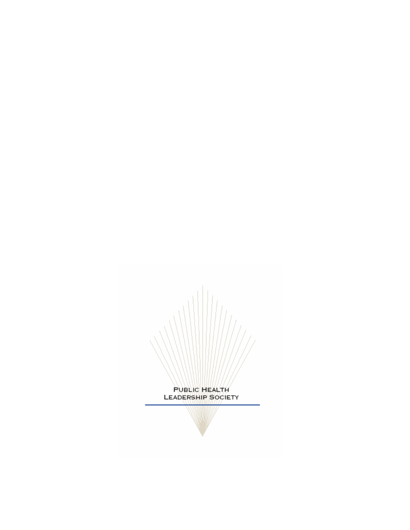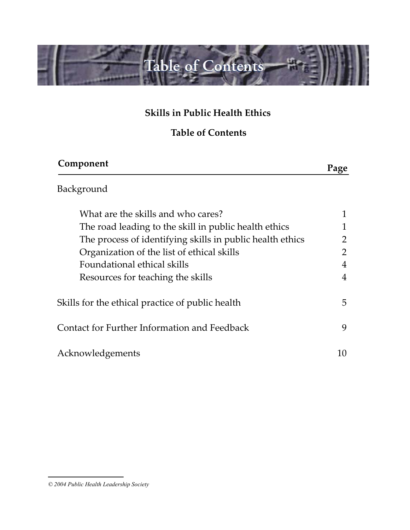

### **Skills in Public Health Ethics**

#### **Table of Contents**

| Component                                                 | Page |
|-----------------------------------------------------------|------|
| Background                                                |      |
| What are the skills and who cares?                        |      |
| The road leading to the skill in public health ethics     |      |
| The process of identifying skills in public health ethics | 2    |
| Organization of the list of ethical skills                |      |
| Foundational ethical skills                               | 4    |
| Resources for teaching the skills                         | 4    |
| Skills for the ethical practice of public health          | 5    |
| Contact for Further Information and Feedback              | 9    |
| Acknowledgements                                          | 10   |

*<sup>© 2004</sup> Public Health Leadership Society*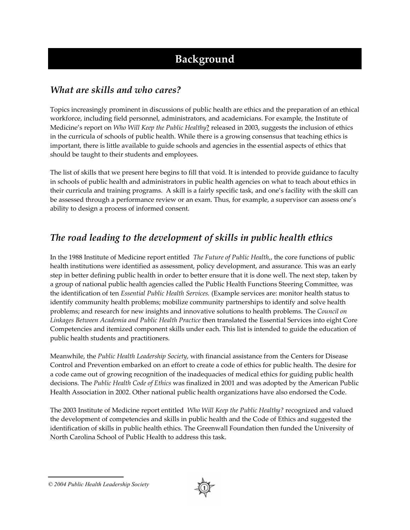# **Background**

#### *What are skills and who cares?*

Topics increasingly prominent in discussions of public health are ethics and the preparation of an ethical workforce, including field personnel, administrators, and academicians. For example, the Institute of Medicine's report on *Who Will Keep the Public Healthy*? released in 2003, suggests the inclusion of ethics in the curricula of schools of public health. While there is a growing consensus that teaching ethics is important, there is little available to guide schools and agencies in the essential aspects of ethics that should be taught to their students and employees.

The list of skills that we present here begins to fill that void. It is intended to provide guidance to faculty in schools of public health and administrators in public health agencies on what to teach about ethics in their curricula and training programs. A skill is a fairly specific task, and one's facility with the skill can be assessed through a performance review or an exam. Thus, for example, a supervisor can assess one's ability to design a process of informed consent.

#### *The road leading to the development of skills in public health ethics*

In the 1988 Institute of Medicine report entitled *The Future of Public Health,*, the core functions of public health institutions were identified as assessment, policy development, and assurance. This was an early step in better defining public health in order to better ensure that it is done well. The next step, taken by a group of national public health agencies called the Public Health Functions Steering Committee, was the identification of ten *Essential Public Health Services.* (Example services are: monitor health status to identify community health problems; mobilize community partnerships to identify and solve health problems; and research for new insights and innovative solutions to health problems. The *Council on Linkages Between Academia and Public Health Practice* then translated the Essential Services into eight Core Competencies and itemized component skills under each. This list is intended to guide the education of public health students and practitioners.

Meanwhile, the *Public Health Leadership Society*, with financial assistance from the Centers for Disease Control and Prevention embarked on an effort to create a code of ethics for public health. The desire for a code came out of growing recognition of the inadequacies of medical ethics for guiding public health decisions. The *Public Health Code of Ethics* was finalized in 2001 and was adopted by the American Public Health Association in 2002. Other national public health organizations have also endorsed the Code.

The 2003 Institute of Medicine report entitled *Who Will Keep the Public Healthy?* recognized and valued the development of competencies and skills in public health and the Code of Ethics and suggested the identification of skills in public health ethics. The Greenwall Foundation then funded the University of North Carolina School of Public Health to address this task.

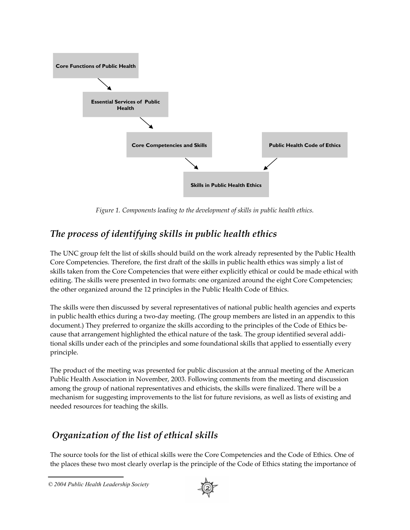

*Figure 1. Components leading to the development of skills in public health ethics.*

#### *The process of identifying skills in public health ethics*

The UNC group felt the list of skills should build on the work already represented by the Public Health Core Competencies. Therefore, the first draft of the skills in public health ethics was simply a list of skills taken from the Core Competencies that were either explicitly ethical or could be made ethical with editing. The skills were presented in two formats: one organized around the eight Core Competencies; the other organized around the 12 principles in the Public Health Code of Ethics.

The skills were then discussed by several representatives of national public health agencies and experts in public health ethics during a two-day meeting. (The group members are listed in an appendix to this document.) They preferred to organize the skills according to the principles of the Code of Ethics because that arrangement highlighted the ethical nature of the task. The group identified several additional skills under each of the principles and some foundational skills that applied to essentially every principle.

The product of the meeting was presented for public discussion at the annual meeting of the American Public Health Association in November, 2003. Following comments from the meeting and discussion among the group of national representatives and ethicists, the skills were finalized. There will be a mechanism for suggesting improvements to the list for future revisions, as well as lists of existing and needed resources for teaching the skills.

#### *Organization of the list of ethical skills*

The source tools for the list of ethical skills were the Core Competencies and the Code of Ethics. One of the places these two most clearly overlap is the principle of the Code of Ethics stating the importance of



*<sup>© 2004</sup> Public Health Leadership Society*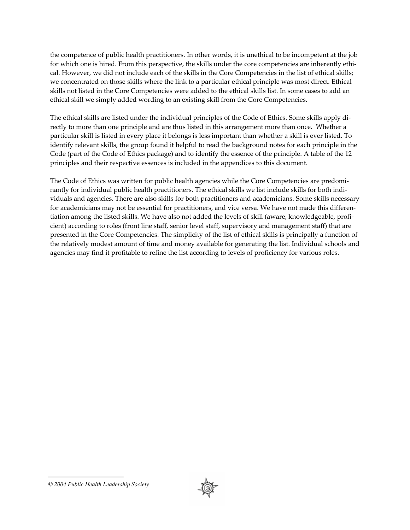the competence of public health practitioners. In other words, it is unethical to be incompetent at the job for which one is hired. From this perspective, the skills under the core competencies are inherently ethical. However, we did not include each of the skills in the Core Competencies in the list of ethical skills; we concentrated on those skills where the link to a particular ethical principle was most direct. Ethical skills not listed in the Core Competencies were added to the ethical skills list. In some cases to add an ethical skill we simply added wording to an existing skill from the Core Competencies.

The ethical skills are listed under the individual principles of the Code of Ethics. Some skills apply directly to more than one principle and are thus listed in this arrangement more than once. Whether a particular skill is listed in every place it belongs is less important than whether a skill is ever listed. To identify relevant skills, the group found it helpful to read the background notes for each principle in the Code (part of the Code of Ethics package) and to identify the essence of the principle. A table of the 12 principles and their respective essences is included in the appendices to this document.

The Code of Ethics was written for public health agencies while the Core Competencies are predominantly for individual public health practitioners. The ethical skills we list include skills for both individuals and agencies. There are also skills for both practitioners and academicians. Some skills necessary for academicians may not be essential for practitioners, and vice versa. We have not made this differentiation among the listed skills. We have also not added the levels of skill (aware, knowledgeable, proficient) according to roles (front line staff, senior level staff, supervisory and management staff) that are presented in the Core Competencies. The simplicity of the list of ethical skills is principally a function of the relatively modest amount of time and money available for generating the list. Individual schools and agencies may find it profitable to refine the list according to levels of proficiency for various roles.



*<sup>© 2004</sup> Public Health Leadership Society*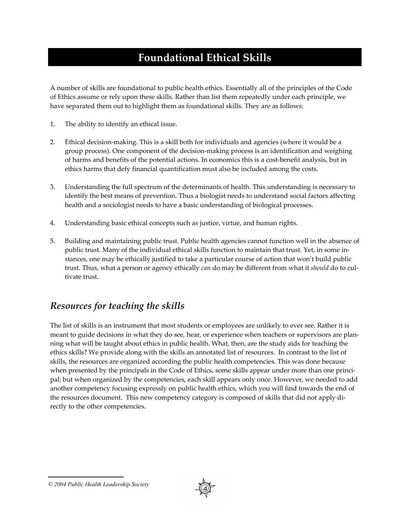# **Foundational Ethical Skills**

A number of skills are foundational to public health ethics. Essentially all of the principles of the Code of Ethics assume or rely upon these skills. Rather than list them repeatedly under each principle, we have separated them out to highlight them as foundational skills. They are as follows:

- 1. The ability to identify an ethical issue.
- 2. Ethical decision-making. This is a skill both for individuals and agencies (where it would be a group process). One component of the decision-making process is an identification and weighing of harms and benefits of the potential actions. In economics this is a cost-benefit analysis, but in ethics harms that defy financial quantification must also be included among the costs.
- 3. Understanding the full spectrum of the determinants of health. This understanding is necessary to identify the best means of prevention. Thus a biologist needs to understand social factors affecting health and a sociologist needs to have a basic understanding of biological processes.
- 4. Understanding basic ethical concepts such as justice, virtue, and human rights.
- 5. Building and maintaining public trust. Public health agencies cannot function well in the absence of public trust. Many of the individual ethical skills function to maintain that trust. Yet, in some instances, one may be ethically justified to take a particular course of action that won't build public trust. Thus, what a person or agency ethically *can* do may be different from what it *should* do to cultivate trust.

#### *Resources for teaching the skills*

The list of skills is an instrument that most students or employees are unlikely to ever see. Rather it is meant to guide decisions in what they do see, hear, or experience when teachers or supervisors are planning what will be taught about ethics in public health. What, then, are the study aids for teaching the ethics skills? We provide along with the skills an annotated list of resources. In contrast to the list of skills, the resources are organized according the public health competencies. This was done because when presented by the principals in the Code of Ethics, some skills appear under more than one principal; but when organized by the competencies, each skill appears only once. However, we needed to add another competency focusing expressly on public health ethics, which you will find towards the end of the resources document. This new competency category is composed of skills that did not apply directly to the other competencies.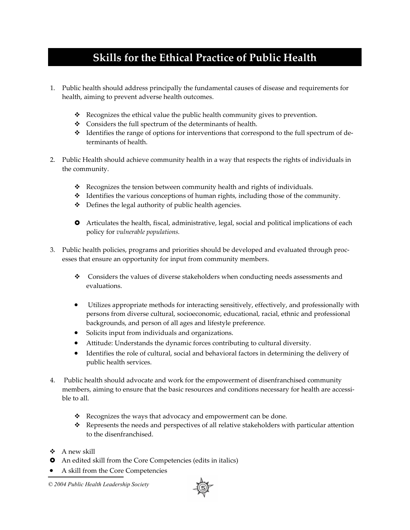# **Skills for the Ethical Practice of Public Health**

- 1. Public health should address principally the fundamental causes of disease and requirements for health, aiming to prevent adverse health outcomes.
	- \* Recognizes the ethical value the public health community gives to prevention.
	- Considers the full spectrum of the determinants of health.
	- $\triangleleft$  Identifies the range of options for interventions that correspond to the full spectrum of determinants of health.
- 2. Public Health should achieve community health in a way that respects the rights of individuals in the community.
	- \* Recognizes the tension between community health and rights of individuals.
	- $\triangle$  Identifies the various conceptions of human rights, including those of the community.
	- Defines the legal authority of public health agencies.
	- **•** Articulates the health, fiscal, administrative, legal, social and political implications of each policy for *vulnerable populations.*
- 3. Public health policies, programs and priorities should be developed and evaluated through processes that ensure an opportunity for input from community members.
	- Considers the values of diverse stakeholders when conducting needs assessments and evaluations.
	- Utilizes appropriate methods for interacting sensitively, effectively, and professionally with persons from diverse cultural, socioeconomic, educational, racial, ethnic and professional backgrounds, and person of all ages and lifestyle preference.
	- Solicits input from individuals and organizations.
	- Attitude: Understands the dynamic forces contributing to cultural diversity.
	- Identifies the role of cultural, social and behavioral factors in determining the delivery of public health services.
- 4. Public health should advocate and work for the empowerment of disenfranchised community members, aiming to ensure that the basic resources and conditions necessary for health are accessible to all.
	- $\mathbf{\hat{P}}$  Recognizes the ways that advocacy and empowerment can be done.
	- $\div$  Represents the needs and perspectives of all relative stakeholders with particular attention to the disenfranchised.
- $\triangle$  A new skill
- **•** An edited skill from the Core Competencies (edits in italics)
- A skill from the Core Competencies

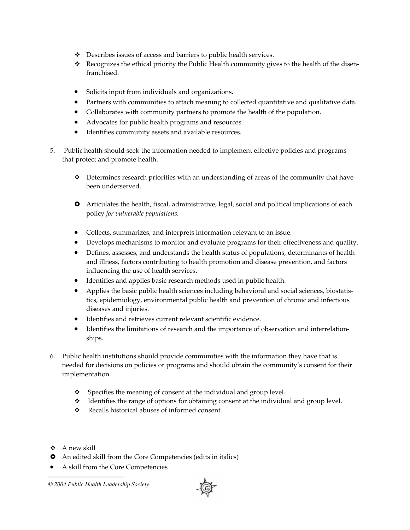- Describes issues of access and barriers to public health services.
- Recognizes the ethical priority the Public Health community gives to the health of the disenfranchised.
- Solicits input from individuals and organizations.
- Partners with communities to attach meaning to collected quantitative and qualitative data.
- Collaborates with community partners to promote the health of the population.
- Advocates for public health programs and resources.
- Identifies community assets and available resources.
- 5. Public health should seek the information needed to implement effective policies and programs that protect and promote health.
	- $\triangle$  Determines research priorities with an understanding of areas of the community that have been underserved.
	- $\bullet$  Articulates the health, fiscal, administrative, legal, social and political implications of each policy *for vulnerable populations.*
	- Collects, summarizes, and interprets information relevant to an issue.
	- Develops mechanisms to monitor and evaluate programs for their effectiveness and quality.
	- Defines, assesses, and understands the health status of populations, determinants of health and illness, factors contributing to health promotion and disease prevention, and factors influencing the use of health services.
	- Identifies and applies basic research methods used in public health.
	- Applies the basic public health sciences including behavioral and social sciences, biostatistics, epidemiology, environmental public health and prevention of chronic and infectious diseases and injuries.
	- Identifies and retrieves current relevant scientific evidence.
	- Identifies the limitations of research and the importance of observation and interrelationships.
- 6. Public health institutions should provide communities with the information they have that is needed for decisions on policies or programs and should obtain the community's consent for their implementation.
	- $\mathbf{\hat{P}}$  Specifies the meaning of consent at the individual and group level.
	- $\triangleleft$  Identifies the range of options for obtaining consent at the individual and group level.
	- Recalls historical abuses of informed consent.
- $\triangle$  A new skill
- **•** An edited skill from the Core Competencies (edits in italics)
- A skill from the Core Competencies

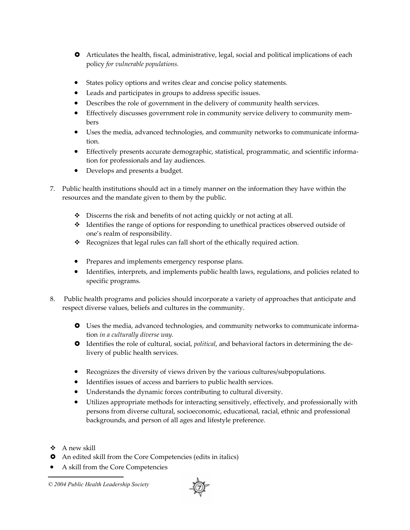- $\bullet$  Articulates the health, fiscal, administrative, legal, social and political implications of each policy *for vulnerable populations.*
- States policy options and writes clear and concise policy statements.
- Leads and participates in groups to address specific issues.
- Describes the role of government in the delivery of community health services.
- Effectively discusses government role in community service delivery to community members
- Uses the media, advanced technologies, and community networks to communicate information.
- Effectively presents accurate demographic, statistical, programmatic, and scientific information for professionals and lay audiences.
- Develops and presents a budget.
- 7. Public health institutions should act in a timely manner on the information they have within the resources and the mandate given to them by the public.
	- $\bullet$  Discerns the risk and benefits of not acting quickly or not acting at all.
	- Identifies the range of options for responding to unethical practices observed outside of one's realm of responsibility.
	- Recognizes that legal rules can fall short of the ethically required action.
	- Prepares and implements emergency response plans.
	- Identifies, interprets, and implements public health laws, regulations, and policies related to specific programs.
- 8. Public health programs and policies should incorporate a variety of approaches that anticipate and respect diverse values, beliefs and cultures in the community.
	- **•** Uses the media, advanced technologies, and community networks to communicate information *in a culturally diverse way.*
	- $\bullet$  Identifies the role of cultural, social, *political*, and behavioral factors in determining the delivery of public health services.
	- Recognizes the diversity of views driven by the various cultures/subpopulations.
	- Identifies issues of access and barriers to public health services.
	- Understands the dynamic forces contributing to cultural diversity.
	- Utilizes appropriate methods for interacting sensitively, effectively, and professionally with persons from diverse cultural, socioeconomic, educational, racial, ethnic and professional backgrounds, and person of all ages and lifestyle preference.
- $\triangle$  A new skill
- **•** An edited skill from the Core Competencies (edits in italics)
- A skill from the Core Competencies

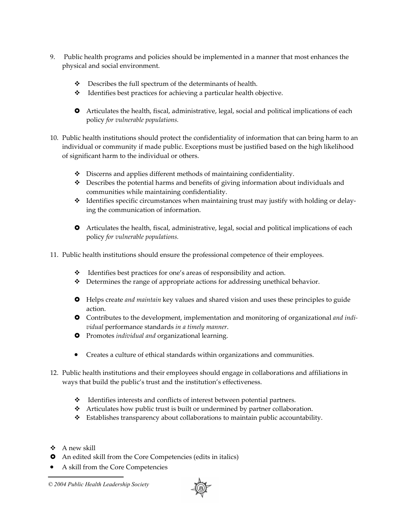- 9. Public health programs and policies should be implemented in a manner that most enhances the physical and social environment.
	- $\div$  Describes the full spectrum of the determinants of health.
	- Identifies best practices for achieving a particular health objective.
	- $\bullet$  Articulates the health, fiscal, administrative, legal, social and political implications of each policy *for vulnerable populations.*
- 10. Public health institutions should protect the confidentiality of information that can bring harm to an individual or community if made public. Exceptions must be justified based on the high likelihood of significant harm to the individual or others.
	- Discerns and applies different methods of maintaining confidentiality.
	- Describes the potential harms and benefits of giving information about individuals and communities while maintaining confidentiality.
	- \* Identifies specific circumstances when maintaining trust may justify with holding or delaying the communication of information.
	- $\bullet$  Articulates the health, fiscal, administrative, legal, social and political implications of each policy *for vulnerable populations.*
- 11. Public health institutions should ensure the professional competence of their employees.
	- Identifies best practices for one's areas of responsibility and action.
	- $\triangleleft$  Determines the range of appropriate actions for addressing unethical behavior.
	- **•** Helps create *and maintain* key values and shared vision and uses these principles to guide action.
	- $\bullet$  Contributes to the development, implementation and monitoring of organizational *and individual* performance standards *in a timely manner*.
	- $\bullet$  Promotes *individual and* organizational learning.
	- Creates a culture of ethical standards within organizations and communities.
- 12. Public health institutions and their employees should engage in collaborations and affiliations in ways that build the public's trust and the institution's effectiveness.
	- Identifies interests and conflicts of interest between potential partners.
	- Articulates how public trust is built or undermined by partner collaboration.
	- Establishes transparency about collaborations to maintain public accountability.
- $\triangle$  A new skill
- **•** An edited skill from the Core Competencies (edits in italics)
- A skill from the Core Competencies

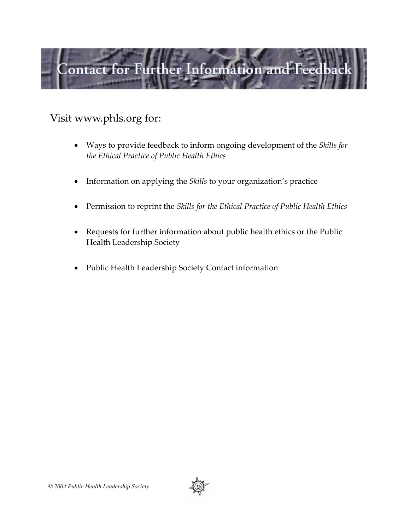

# Visit www.phls.org for:

- Ways to provide feedback to inform ongoing development of the *Skills for the Ethical Practice of Public Health Ethics*
- Information on applying the *Skills* to your organization's practice
- Permission to reprint the *Skills for the Ethical Practice of Public Health Ethics*
- Requests for further information about public health ethics or the Public Health Leadership Society
- Public Health Leadership Society Contact information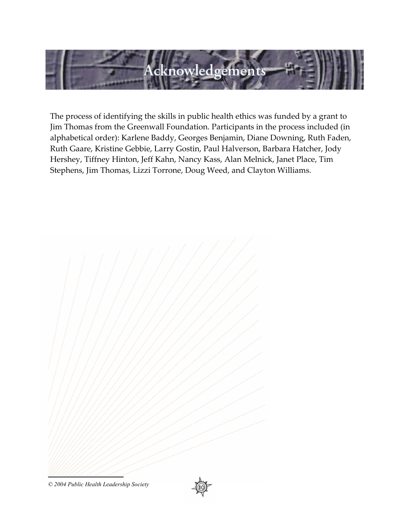

The process of identifying the skills in public health ethics was funded by a grant to Jim Thomas from the Greenwall Foundation. Participants in the process included (in alphabetical order): Karlene Baddy, Georges Benjamin, Diane Downing, Ruth Faden, Ruth Gaare, Kristine Gebbie, Larry Gostin, Paul Halverson, Barbara Hatcher, Jody Hershey, Tiffney Hinton, Jeff Kahn, Nancy Kass, Alan Melnick, Janet Place, Tim Stephens, Jim Thomas, Lizzi Torrone, Doug Weed, and Clayton Williams.